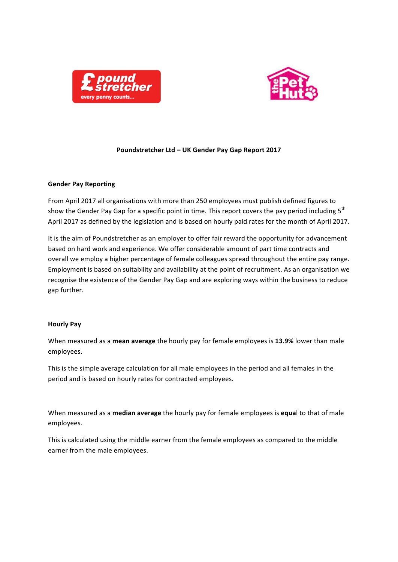



### Poundstretcher Ltd - UK Gender Pay Gap Report 2017

#### **Gender Pay Reporting**

From April 2017 all organisations with more than 250 employees must publish defined figures to show the Gender Pay Gap for a specific point in time. This report covers the pay period including  $5<sup>th</sup>$ April 2017 as defined by the legislation and is based on hourly paid rates for the month of April 2017.

It is the aim of Poundstretcher as an employer to offer fair reward the opportunity for advancement based on hard work and experience. We offer considerable amount of part time contracts and overall we employ a higher percentage of female colleagues spread throughout the entire pay range. Employment is based on suitability and availability at the point of recruitment. As an organisation we recognise the existence of the Gender Pay Gap and are exploring ways within the business to reduce gap further.

### **Hourly Pay**

When measured as a mean average the hourly pay for female employees is 13.9% lower than male employees. 

This is the simple average calculation for all male employees in the period and all females in the period and is based on hourly rates for contracted employees.

When measured as a **median average** the hourly pay for female employees is **equal** to that of male employees.

This is calculated using the middle earner from the female employees as compared to the middle earner from the male employees.